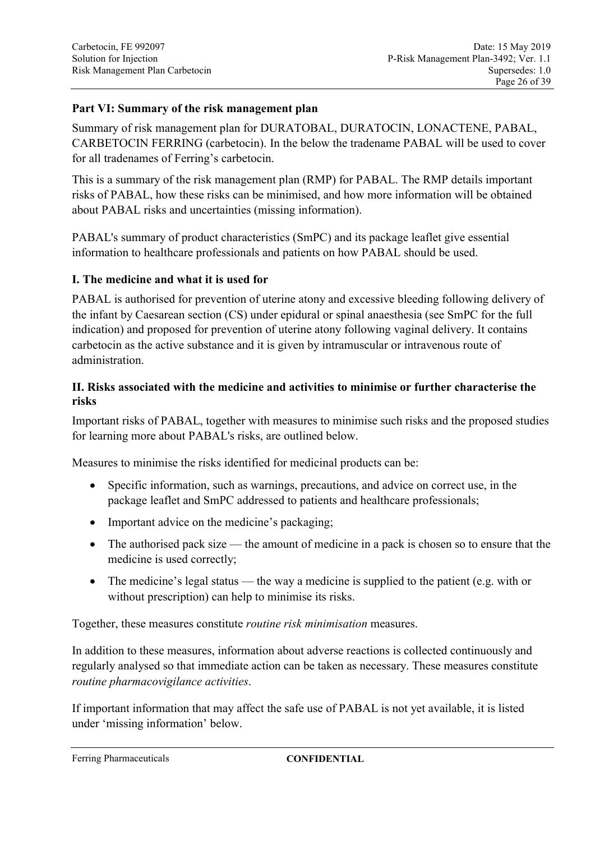## **Part VI: Summary of the risk management plan**

Summary of risk management plan for DURATOBAL, DURATOCIN, LONACTENE, PABAL, CARBETOCIN FERRING (carbetocin). In the below the tradename PABAL will be used to cover for all tradenames of Ferring's carbetocin.

This is a summary of the risk management plan (RMP) for PABAL. The RMP details important risks of PABAL, how these risks can be minimised, and how more information will be obtained about PABAL risks and uncertainties (missing information).

PABAL's summary of product characteristics (SmPC) and its package leaflet give essential information to healthcare professionals and patients on how PABAL should be used.

#### **I. The medicine and what it is used for**

PABAL is authorised for prevention of uterine atony and excessive bleeding following delivery of the infant by Caesarean section (CS) under epidural or spinal anaesthesia (see SmPC for the full indication) and proposed for prevention of uterine atony following vaginal delivery. It contains carbetocin as the active substance and it is given by intramuscular or intravenous route of administration.

## **II. Risks associated with the medicine and activities to minimise or further characterise the risks**

Important risks of PABAL, together with measures to minimise such risks and the proposed studies for learning more about PABAL's risks, are outlined below.

Measures to minimise the risks identified for medicinal products can be:

- Specific information, such as warnings, precautions, and advice on correct use, in the package leaflet and SmPC addressed to patients and healthcare professionals;
- Important advice on the medicine's packaging:
- The authorised pack size the amount of medicine in a pack is chosen so to ensure that the medicine is used correctly;
- The medicine's legal status the way a medicine is supplied to the patient (e.g. with or without prescription) can help to minimise its risks.

Together, these measures constitute *routine risk minimisation* measures.

In addition to these measures, information about adverse reactions is collected continuously and regularly analysed so that immediate action can be taken as necessary. These measures constitute *routine pharmacovigilance activities*.

If important information that may affect the safe use of PABAL is not yet available, it is listed under 'missing information' below.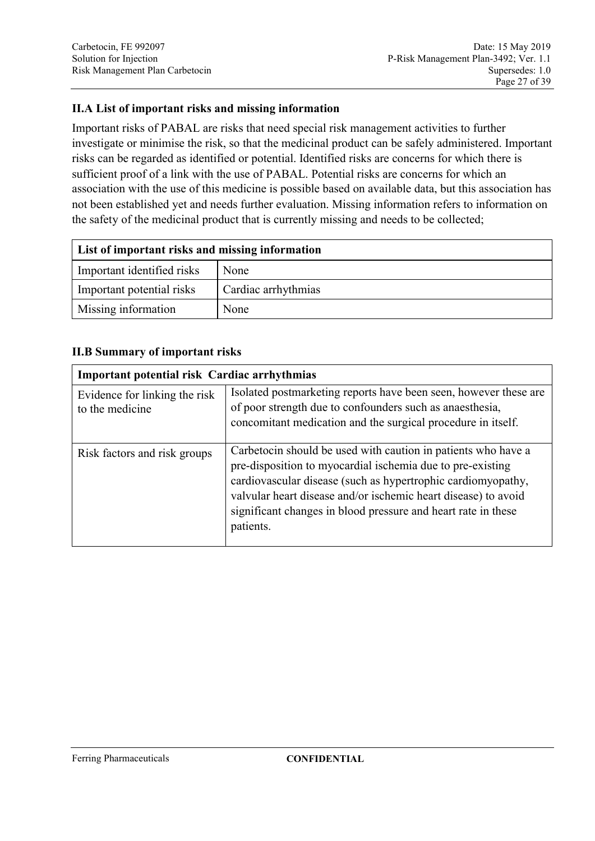## **II.A List of important risks and missing information**

Important risks of PABAL are risks that need special risk management activities to further investigate or minimise the risk, so that the medicinal product can be safely administered. Important risks can be regarded as identified or potential. Identified risks are concerns for which there is sufficient proof of a link with the use of PABAL. Potential risks are concerns for which an association with the use of this medicine is possible based on available data, but this association has not been established yet and needs further evaluation. Missing information refers to information on the safety of the medicinal product that is currently missing and needs to be collected;

| List of important risks and missing information |                     |  |
|-------------------------------------------------|---------------------|--|
| Important identified risks                      | None                |  |
| Important potential risks                       | Cardiac arrhythmias |  |
| Missing information                             | None                |  |

#### **II.B Summary of important risks**

| <b>Important potential risk Cardiac arrhythmias</b> |                                                                                                                                                                                                                                                                                                                                             |  |
|-----------------------------------------------------|---------------------------------------------------------------------------------------------------------------------------------------------------------------------------------------------------------------------------------------------------------------------------------------------------------------------------------------------|--|
| Evidence for linking the risk<br>to the medicine    | Isolated postmarketing reports have been seen, however these are<br>of poor strength due to confounders such as anaesthesia,<br>concomitant medication and the surgical procedure in itself.                                                                                                                                                |  |
| Risk factors and risk groups                        | Carbetocin should be used with caution in patients who have a<br>pre-disposition to myocardial ischemia due to pre-existing<br>cardiovascular disease (such as hypertrophic cardiomyopathy,<br>valvular heart disease and/or ischemic heart disease) to avoid<br>significant changes in blood pressure and heart rate in these<br>patients. |  |